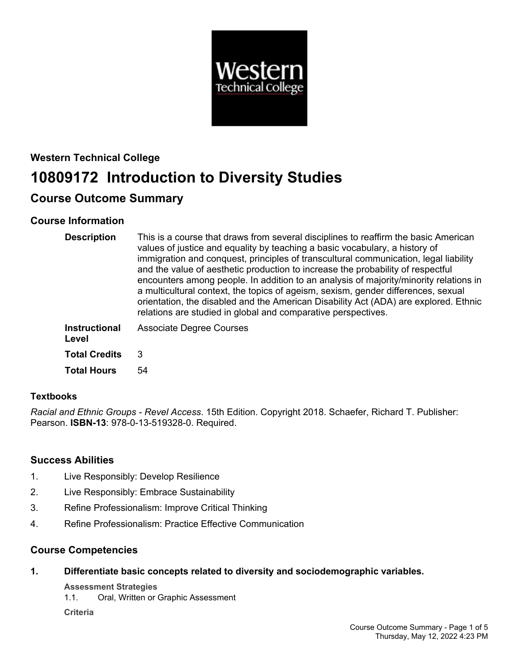

# **Western Technical College 10809172 Introduction to Diversity Studies**

## **Course Outcome Summary**

## **Course Information**

| <b>Description</b>            | This is a course that draws from several disciplines to reaffirm the basic American<br>values of justice and equality by teaching a basic vocabulary, a history of<br>immigration and conquest, principles of transcultural communication, legal liability<br>and the value of aesthetic production to increase the probability of respectful<br>encounters among people. In addition to an analysis of majority/minority relations in<br>a multicultural context, the topics of ageism, sexism, gender differences, sexual<br>orientation, the disabled and the American Disability Act (ADA) are explored. Ethnic<br>relations are studied in global and comparative perspectives. |
|-------------------------------|--------------------------------------------------------------------------------------------------------------------------------------------------------------------------------------------------------------------------------------------------------------------------------------------------------------------------------------------------------------------------------------------------------------------------------------------------------------------------------------------------------------------------------------------------------------------------------------------------------------------------------------------------------------------------------------|
| <b>Instructional</b><br>Level | <b>Associate Degree Courses</b>                                                                                                                                                                                                                                                                                                                                                                                                                                                                                                                                                                                                                                                      |
| <b>Total Credits</b>          | 3                                                                                                                                                                                                                                                                                                                                                                                                                                                                                                                                                                                                                                                                                    |
| <b>Total Hours</b>            | 54                                                                                                                                                                                                                                                                                                                                                                                                                                                                                                                                                                                                                                                                                   |

## **Textbooks**

*Racial and Ethnic Groups - Revel Access*. 15th Edition. Copyright 2018. Schaefer, Richard T. Publisher: Pearson. **ISBN-13**: 978-0-13-519328-0. Required.

## **Success Abilities**

- 1. Live Responsibly: Develop Resilience
- 2. Live Responsibly: Embrace Sustainability
- 3. Refine Professionalism: Improve Critical Thinking
- 4. Refine Professionalism: Practice Effective Communication

## **Course Competencies**

**1. Differentiate basic concepts related to diversity and sociodemographic variables.**

**Assessment Strategies**

1.1. Oral, Written or Graphic Assessment

**Criteria**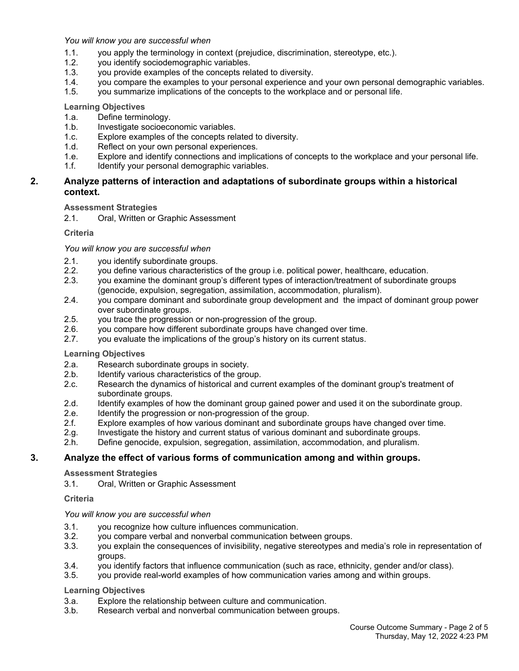*You will know you are successful when*

- 1.1. you apply the terminology in context (prejudice, discrimination, stereotype, etc.).
- 1.2. you identify sociodemographic variables.
- 1.3. you provide examples of the concepts related to diversity.
- 1.4. you compare the examples to your personal experience and your own personal demographic variables.
- 1.5. you summarize implications of the concepts to the workplace and or personal life.

### **Learning Objectives**

- 1.a. Define terminology.
- 1.b. Investigate socioeconomic variables.
- 1.c. Explore examples of the concepts related to diversity.
- 1.d. Reflect on your own personal experiences.
- 1.e. Explore and identify connections and implications of concepts to the workplace and your personal life.
- 1.f. **Identify your personal demographic variables.**

#### **2. Analyze patterns of interaction and adaptations of subordinate groups within a historical context.**

## **Assessment Strategies**

2.1. Oral, Written or Graphic Assessment

### **Criteria**

### *You will know you are successful when*

- 2.1. you identify subordinate groups.
- 2.2. you define various characteristics of the group i.e. political power, healthcare, education.
- 2.3. you examine the dominant group's different types of interaction/treatment of subordinate groups (genocide, expulsion, segregation, assimilation, accommodation, pluralism).
- 2.4. you compare dominant and subordinate group development and the impact of dominant group power over subordinate groups.
- 2.5. you trace the progression or non-progression of the group.
- 2.6. you compare how different subordinate groups have changed over time.
- 2.7. you evaluate the implications of the group's history on its current status.

## **Learning Objectives**

- 2.a. Research subordinate groups in society.
- 2.b. Identify various characteristics of the group.<br>2.c. Research the dynamics of historical and curi
- Research the dynamics of historical and current examples of the dominant group's treatment of subordinate groups.
- 2.d. Identify examples of how the dominant group gained power and used it on the subordinate group.
- 2.e. Identify the progression or non-progression of the group.
- 2.f. Explore examples of how various dominant and subordinate groups have changed over time.
- 2.g. Investigate the history and current status of various dominant and subordinate groups.
- 2.h. Define genocide, expulsion, segregation, assimilation, accommodation, and pluralism.

## **3. Analyze the effect of various forms of communication among and within groups.**

#### **Assessment Strategies**

3.1. Oral, Written or Graphic Assessment

## **Criteria**

#### *You will know you are successful when*

- 3.1. you recognize how culture influences communication.
- 3.2. you compare verbal and nonverbal communication between groups.
- 3.3. you explain the consequences of invisibility, negative stereotypes and media's role in representation of groups.
- 3.4. you identify factors that influence communication (such as race, ethnicity, gender and/or class).
- 3.5. you provide real-world examples of how communication varies among and within groups.

## **Learning Objectives**

- 3.a. Explore the relationship between culture and communication.
- 3.b. Research verbal and nonverbal communication between groups.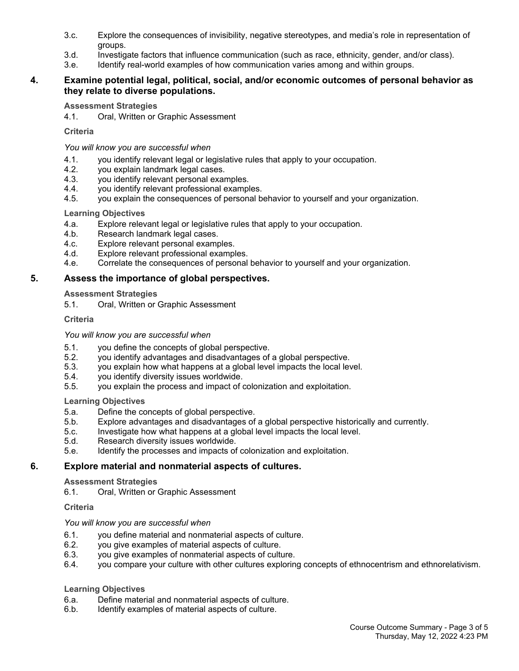- 3.c. Explore the consequences of invisibility, negative stereotypes, and media's role in representation of groups.
- 3.d. Investigate factors that influence communication (such as race, ethnicity, gender, and/or class).
- 3.e. Identify real-world examples of how communication varies among and within groups.

## **4. Examine potential legal, political, social, and/or economic outcomes of personal behavior as they relate to diverse populations.**

## **Assessment Strategies**

4.1. Oral, Written or Graphic Assessment

## **Criteria**

*You will know you are successful when*

- 4.1. you identify relevant legal or legislative rules that apply to your occupation.
- 4.2. you explain landmark legal cases.
- 4.3. you identify relevant personal examples.
- 4.4. you identify relevant professional examples.
- 4.5. you explain the consequences of personal behavior to yourself and your organization.

## **Learning Objectives**

- 4.a. Explore relevant legal or legislative rules that apply to your occupation.
- 4.b. Research landmark legal cases.
- 4.c. Explore relevant personal examples.
- 4.d. Explore relevant professional examples.
- 4.e. Correlate the consequences of personal behavior to yourself and your organization.

## **5. Assess the importance of global perspectives.**

## **Assessment Strategies**

5.1. Oral, Written or Graphic Assessment

## **Criteria**

## *You will know you are successful when*

- 5.1. you define the concepts of global perspective.
- 5.2. you identify advantages and disadvantages of a global perspective.
- 5.3. you explain how what happens at a global level impacts the local level.
- 5.4. you identify diversity issues worldwide.
- 5.5. you explain the process and impact of colonization and exploitation.

## **Learning Objectives**

- 5.a. Define the concepts of global perspective.
- 5.b. Explore advantages and disadvantages of a global perspective historically and currently.
- 5.c. Investigate how what happens at a global level impacts the local level.
- 5.d. Research diversity issues worldwide.
- 5.e. Identify the processes and impacts of colonization and exploitation.

## **6. Explore material and nonmaterial aspects of cultures.**

## **Assessment Strategies**

6.1. Oral, Written or Graphic Assessment

## **Criteria**

## *You will know you are successful when*

- 6.1. you define material and nonmaterial aspects of culture.<br>6.2. vou give examples of material aspects of culture.
- you give examples of material aspects of culture.
- 6.3. you give examples of nonmaterial aspects of culture.
- 6.4. you compare your culture with other cultures exploring concepts of ethnocentrism and ethnorelativism.

## **Learning Objectives**

- 6.a. Define material and nonmaterial aspects of culture.
- 6.b. Identify examples of material aspects of culture.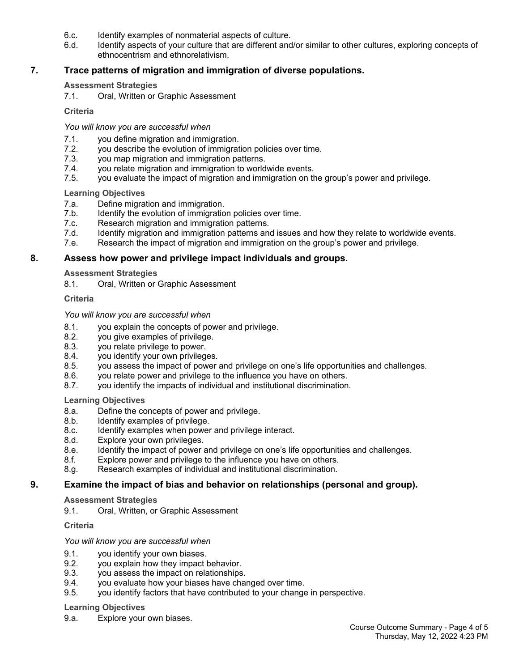- 6.c. Identify examples of nonmaterial aspects of culture.
- 6.d. Identify aspects of your culture that are different and/or similar to other cultures, exploring concepts of ethnocentrism and ethnorelativism.

## **7. Trace patterns of migration and immigration of diverse populations.**

### **Assessment Strategies**

7.1. Oral, Written or Graphic Assessment

#### **Criteria**

### *You will know you are successful when*

- 7.1. you define migration and immigration.
- 7.2. you describe the evolution of immigration policies over time.
- 7.3. you map migration and immigration patterns.
- 7.4. you relate migration and immigration to worldwide events.
- 7.5. you evaluate the impact of migration and immigration on the group's power and privilege.

### **Learning Objectives**

- 7.a. Define migration and immigration.
- 7.b. Identify the evolution of immigration policies over time.
- 7.c. Research migration and immigration patterns.
- 7.d. Identify migration and immigration patterns and issues and how they relate to worldwide events.
- 7.e. Research the impact of migration and immigration on the group's power and privilege.

## **8. Assess how power and privilege impact individuals and groups.**

### **Assessment Strategies**

8.1. Oral, Written or Graphic Assessment

### **Criteria**

### *You will know you are successful when*

- 8.1. you explain the concepts of power and privilege.
- 8.2. you give examples of privilege.
- 8.3. you relate privilege to power.
- 8.4. you identify your own privileges.
- 8.5. you assess the impact of power and privilege on one's life opportunities and challenges.
- 8.6. you relate power and privilege to the influence you have on others.
- 8.7. you identify the impacts of individual and institutional discrimination.

## **Learning Objectives**

- 8.a. Define the concepts of power and privilege.
- 8.b. Identify examples of privilege.
- 8.c. Identify examples when power and privilege interact.
- 8.d. Explore your own privileges.
- 8.e. Identify the impact of power and privilege on one's life opportunities and challenges.
- 8.f. Explore power and privilege to the influence you have on others.
- 8.g. Research examples of individual and institutional discrimination.

## **9. Examine the impact of bias and behavior on relationships (personal and group).**

#### **Assessment Strategies**

9.1. Oral, Written, or Graphic Assessment

## **Criteria**

#### *You will know you are successful when*

- 9.1. you identify your own biases.
- 9.2. you explain how they impact behavior.
- 9.3. you assess the impact on relationships.
- 9.4. you evaluate how your biases have changed over time.
- 9.5. you identify factors that have contributed to your change in perspective.

#### **Learning Objectives**

9.a. Explore your own biases.